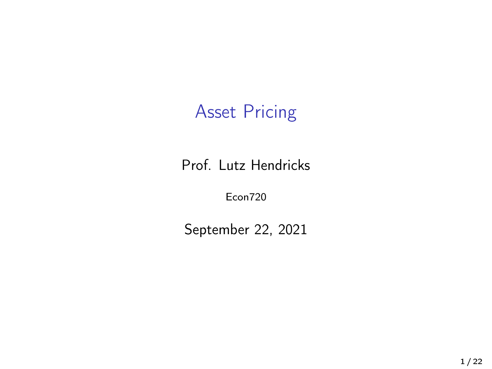#### Asset Pricing

Prof. Lutz Hendricks

Econ720

September 22, 2021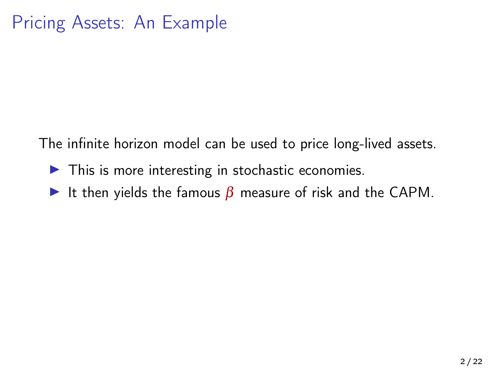The infinite horizon model can be used to price long-lived assets.

- $\blacktriangleright$  This is more interesting in stochastic economies.
- It then yields the famous  $\beta$  measure of risk and the CAPM.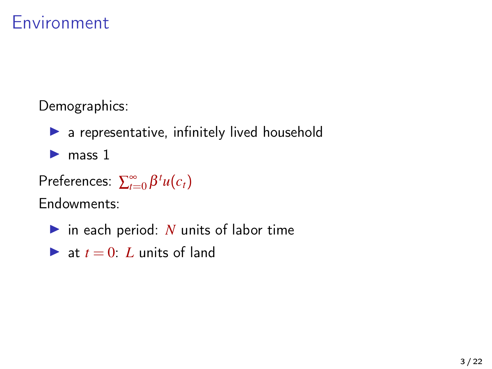#### Environment

Demographics:

 $\blacktriangleright$  a representative, infinitely lived household

 $\blacktriangleright$  mass 1

 $Preferences: \sum_{t=0}^{\infty} \beta^t u(c_t)$ 

Endowments:

- $\triangleright$  in each period: *N* units of labor time
- **If** at  $t = 0$ : L units of land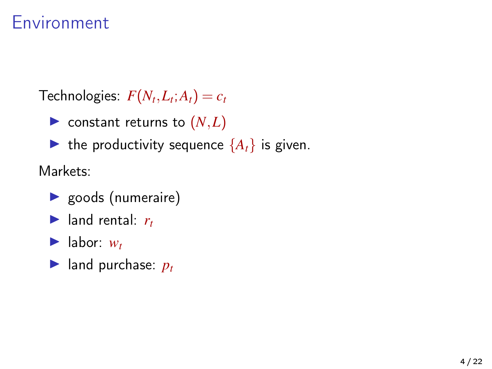#### Environment

 $\mathcal{F}(\mathcal{N}_t, L_t; A_t) = c_t$ 

 $\blacktriangleright$  constant returns to  $(N,L)$ 

 $\blacktriangleright$  the productivity sequence  $\{A_t\}$  is given.

Markets:

- $\blacktriangleright$  goods (numeraire)
- $\blacktriangleright$  land rental:  $r_t$
- $\blacktriangleright$  labor:  $w_t$
- $\blacktriangleright$  land purchase:  $p_t$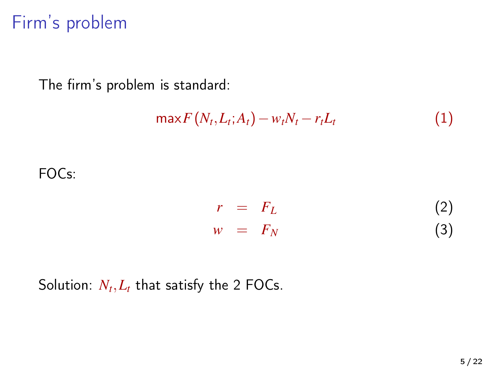### Firm's problem

The firm's problem is standard:

$$
\max F\left(N_t, L_t; A_t\right) - w_t N_t - r_t L_t \tag{1}
$$

FOCs:

$$
r = F_L \tag{2}
$$

$$
w = F_N \tag{3}
$$

Solution:  $N_t, L_t$  that satisfy the 2 FOCs.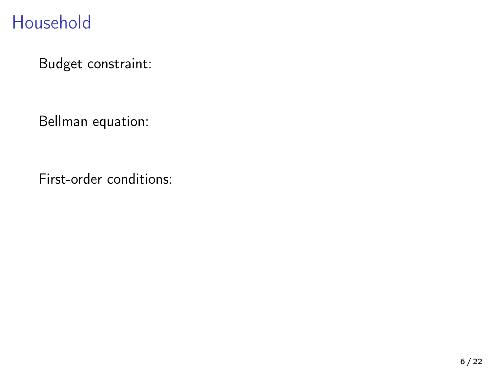### Household

Budget constraint:

Bellman equation:

First-order conditions: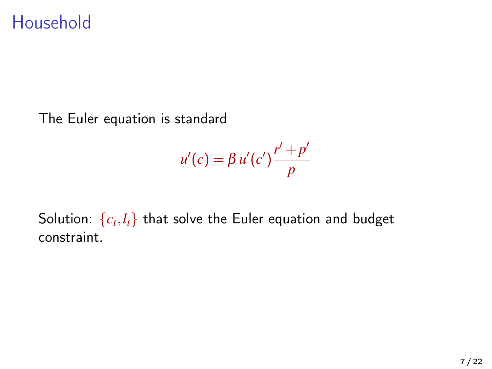#### Household

The Euler equation is standard

$$
u'(c) = \beta u'(c') \frac{r' + p'}{p}
$$

Solution:  $\{c_t, l_t\}$  that solve the Euler equation and budget constraint.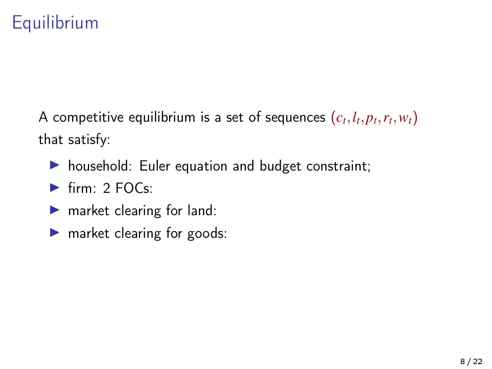# **Equilibrium**

A competitive equilibrium is a set of sequences  $(c_t, l_t, p_t, r_t, w_t)$ that satisfy:

- $\triangleright$  household: Euler equation and budget constraint;
- $\triangleright$  firm: 2 FOCs:
- $\blacktriangleright$  market clearing for land:
- $\blacktriangleright$  market clearing for goods: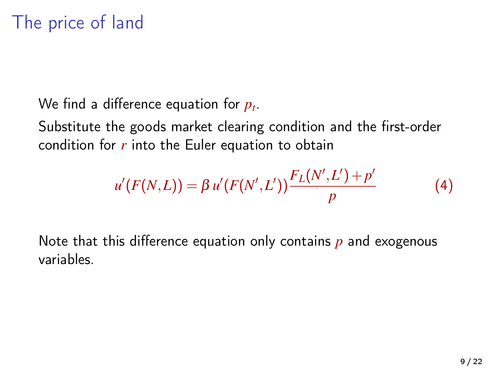We find a difference equation for *p<sup>t</sup>* .

Substitute the goods market clearing condition and the first-order condition for *r* into the Euler equation to obtain

$$
u'(F(N,L)) = \beta u'(F(N',L')) \frac{F_L(N',L') + p'}{p}
$$
 (4)

Note that this difference equation only contains *p* and exogenous variables.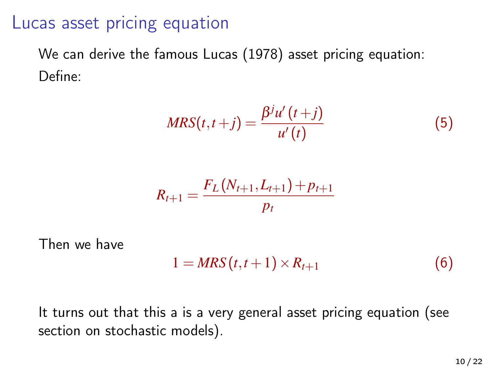#### Lucas asset pricing equation

We can derive the famous Lucas (1978) asset pricing equation: Define:

$$
MRS(t, t+j) = \frac{\beta^j u'(t+j)}{u'(t)}
$$
(5)

$$
R_{t+1} = \frac{F_L(N_{t+1}, L_{t+1}) + p_{t+1}}{p_t}
$$

Then we have

$$
1 = MRS(t, t+1) \times R_{t+1}
$$
 (6)

It turns out that this a is a very general asset pricing equation (see section on stochastic models).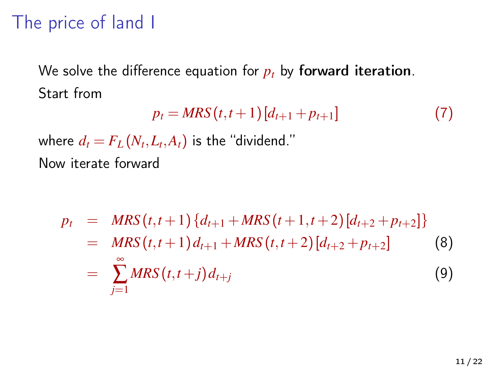# The price of land I

We solve the difference equation for  $p_t$  by forward iteration. Start from

$$
p_t = MRS(t, t+1)[d_{t+1} + p_{t+1}]
$$
\n(7)

where  $d_t = F_L(N_t,L_t,A_t)$  is the "dividend." Now iterate forward

<span id="page-10-0"></span>
$$
p_{t} = MRS(t, t+1) \{d_{t+1} + MRS(t+1, t+2) [d_{t+2} + p_{t+2}]\}
$$
  
= 
$$
MRS(t, t+1) d_{t+1} + MRS(t, t+2) [d_{t+2} + p_{t+2}]
$$
 (8)  
= 
$$
\sum_{j=1}^{\infty} MRS(t, t+j) d_{t+j}
$$
 (9)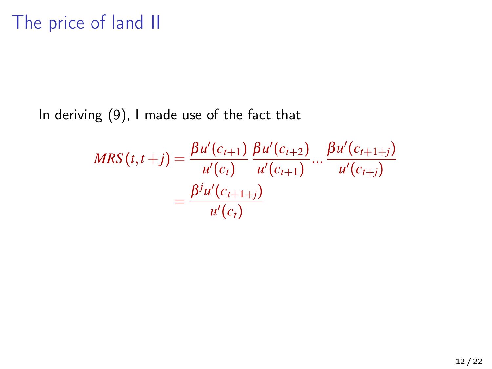In deriving [\(9\)](#page-10-0), I made use of the fact that

$$
MRS(t, t+j) = \frac{\beta u'(c_{t+1})}{u'(c_t)} \frac{\beta u'(c_{t+2})}{u'(c_{t+1})} \dots \frac{\beta u'(c_{t+1+j})}{u'(c_{t+j})}
$$

$$
= \frac{\beta^{j} u'(c_{t+1+j})}{u'(c_t)}
$$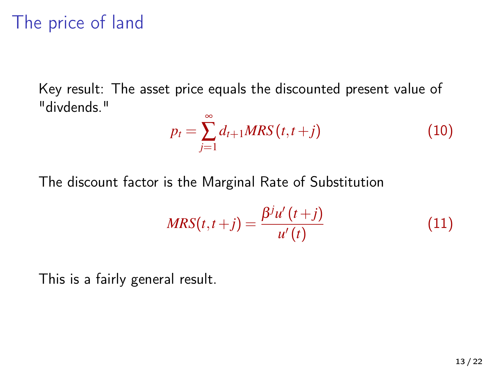### The price of land

Key result: The asset price equals the discounted present value of "divdends."

$$
p_t = \sum_{j=1}^{\infty} d_{t+1} MRS(t, t+j)
$$
 (10)

The discount factor is the Marginal Rate of Substitution

$$
MRS(t, t+j) = \frac{\beta^j u'(t+j)}{u'(t)}
$$
\n(11)

This is a fairly general result.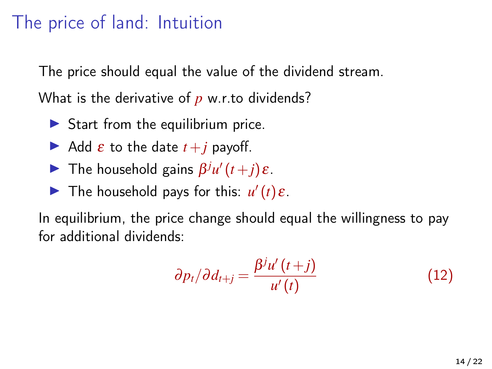### The price of land: Intuition

The price should equal the value of the dividend stream.

What is the derivative of *p* w.r.to dividends?

- $\triangleright$  Start from the equilibrium price.
- $\blacktriangleright$  Add  $\varepsilon$  to the date  $t+j$  payoff.
- **Figure 1** The household gains  $\beta^{j}u'(t+j)\varepsilon$ .
- The household pays for this:  $u'(t) \varepsilon$ .

In equilibrium, the price change should equal the willingness to pay for additional dividends:

$$
\partial p_t / \partial d_{t+j} = \frac{\beta^j u'(t+j)}{u'(t)}
$$
(12)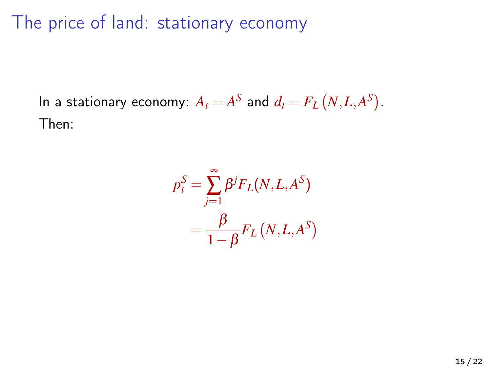The price of land: stationary economy

In a stationary economy:  $A_t = A^S$  and  $d_t = F_L(N, L, A^S)$ . Then:

$$
p_t^S = \sum_{j=1}^{\infty} \beta^j F_L(N, L, A^S)
$$
  
= 
$$
\frac{\beta}{1 - \beta} F_L(N, L, A^S)
$$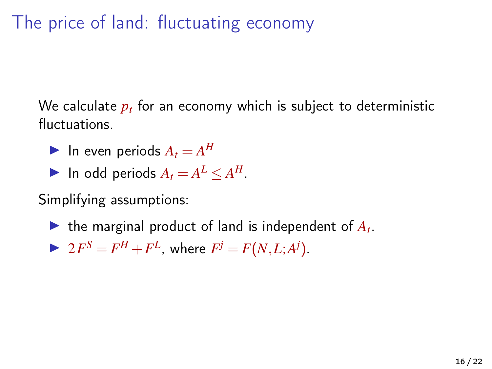# The price of land: fluctuating economy

We calculate *p<sup>t</sup>* for an economy which is subject to deterministic fluctuations.

- In even periods  $A_t = A^H$
- In odd periods  $A_t = A^L \le A^H$ .

Simplifying assumptions:

- $\blacktriangleright$  the marginal product of land is independent of  $A_t$ .
- $\triangleright$   $2F^S = F^H + F^L$ , where  $F^j = F(N, L; A^j)$ .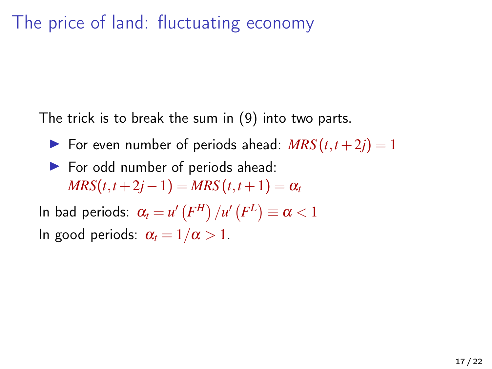# The price of land: fluctuating economy

The trick is to break the sum in [\(9\)](#page-10-0) into two parts.

- $\triangleright$  For even number of periods ahead:  $MRS(t, t+2j) = 1$
- $\blacktriangleright$  For odd number of periods ahead:  $MRS(t, t+2j-1) = MRS(t, t+1) = \alpha_t$

In bad periods:  $\alpha_t = \mathcal{u}'\left(F^H\right)/\mathcal{u}'\left(F^L\right) \equiv \alpha < 1$ In good periods:  $\alpha_t = 1/\alpha > 1$ .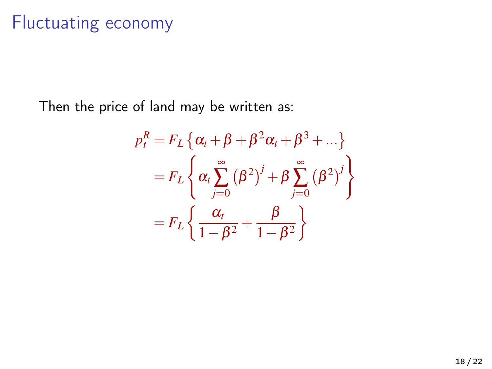# Fluctuating economy

Then the price of land may be written as:

$$
p_t^R = F_L \left\{ \alpha_t + \beta + \beta^2 \alpha_t + \beta^3 + \dots \right\}
$$
  
=  $F_L \left\{ \alpha_t \sum_{j=0}^{\infty} (\beta^2)^j + \beta \sum_{j=0}^{\infty} (\beta^2)^j \right\}$   
=  $F_L \left\{ \frac{\alpha_t}{1 - \beta^2} + \frac{\beta}{1 - \beta^2} \right\}$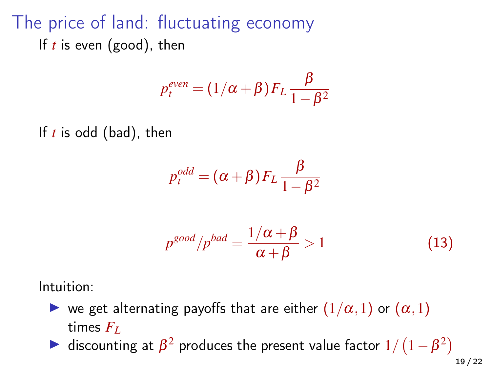# The price of land: fluctuating economy If *t* is even (good), then

$$
p_t^{even} = (1/\alpha + \beta) F_L \frac{\beta}{1 - \beta^2}
$$

If *t* is odd (bad), then

$$
p_t^{odd} = (\alpha + \beta) F_L \frac{\beta}{1 - \beta^2}
$$

$$
p^{good}/p^{bad} = \frac{1/\alpha + \beta}{\alpha + \beta} > 1
$$
 (13)

Intuition:

- $\triangleright$  we get alternating payoffs that are either  $(1/\alpha, 1)$  or  $(\alpha, 1)$ times  $F_L$
- ightharpoonting at  $\beta^2$  produces the present value factor  $1/(1-\beta^2)$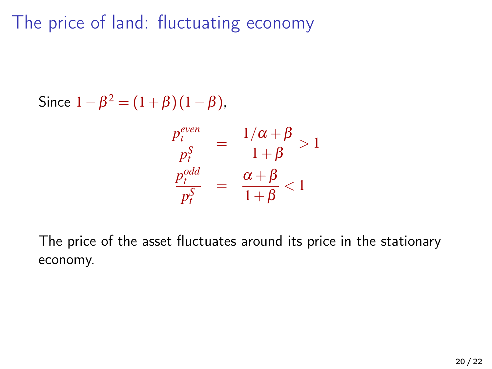The price of land: fluctuating economy

Since  $1 - \beta^2 = (1 + \beta)(1 - \beta)$ ,

$$
\frac{p_t^{even}}{p_t^S} = \frac{1/\alpha + \beta}{1 + \beta} > 1
$$

$$
\frac{p_t^{odd}}{p_t^S} = \frac{\alpha + \beta}{1 + \beta} < 1
$$

The price of the asset fluctuates around its price in the stationary economy.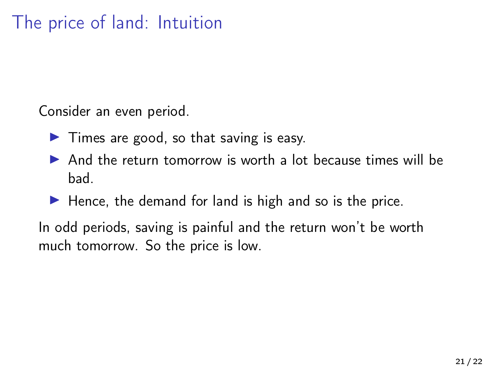# The price of land: Intuition

Consider an even period.

- $\blacktriangleright$  Times are good, so that saving is easy.
- $\triangleright$  And the return tomorrow is worth a lot because times will be bad.
- $\blacktriangleright$  Hence, the demand for land is high and so is the price.

In odd periods, saving is painful and the return won't be worth much tomorrow. So the price is low.